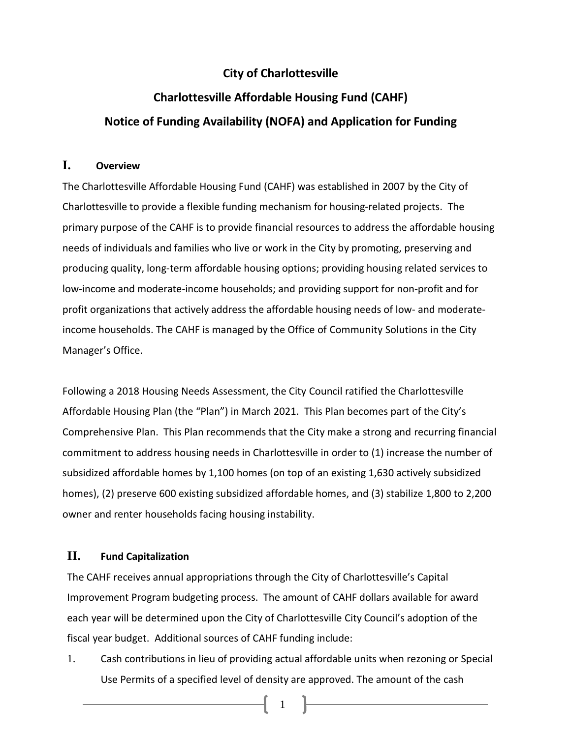## **City of Charlottesville**

## **Charlottesville Affordable Housing Fund (CAHF) Notice of Funding Availability (NOFA) and Application for Funding**

## **I. Overview**

The Charlottesville Affordable Housing Fund (CAHF) was established in 2007 by the City of Charlottesville to provide a flexible funding mechanism for housing-related projects. The primary purpose of the CAHF is to provide financial resources to address the affordable housing needs of individuals and families who live or work in the City by promoting, preserving and producing quality, long-term affordable housing options; providing housing related services to low-income and moderate-income households; and providing support for non-profit and for profit organizations that actively address the affordable housing needs of low- and moderateincome households. The CAHF is managed by the Office of Community Solutions in the City Manager's Office.

Following a 2018 Housing Needs Assessment, the City Council ratified the Charlottesville Affordable Housing Plan (the "Plan") in March 2021. This Plan becomes part of the City's Comprehensive Plan. This Plan recommends that the City make a strong and recurring financial commitment to address housing needs in Charlottesville in order to (1) increase the number of subsidized affordable homes by 1,100 homes (on top of an existing 1,630 actively subsidized homes), (2) preserve 600 existing subsidized affordable homes, and (3) stabilize 1,800 to 2,200 owner and renter households facing housing instability.

## **II. Fund Capitalization**

The CAHF receives annual appropriations through the City of Charlottesville's Capital Improvement Program budgeting process. The amount of CAHF dollars available for award each year will be determined upon the City of Charlottesville City Council's adoption of the fiscal year budget. Additional sources of CAHF funding include:

1. Cash contributions in lieu of providing actual affordable units when rezoning or Special Use Permits of a specified level of density are approved. The amount of the cash

 $\begin{bmatrix} 1 \end{bmatrix}$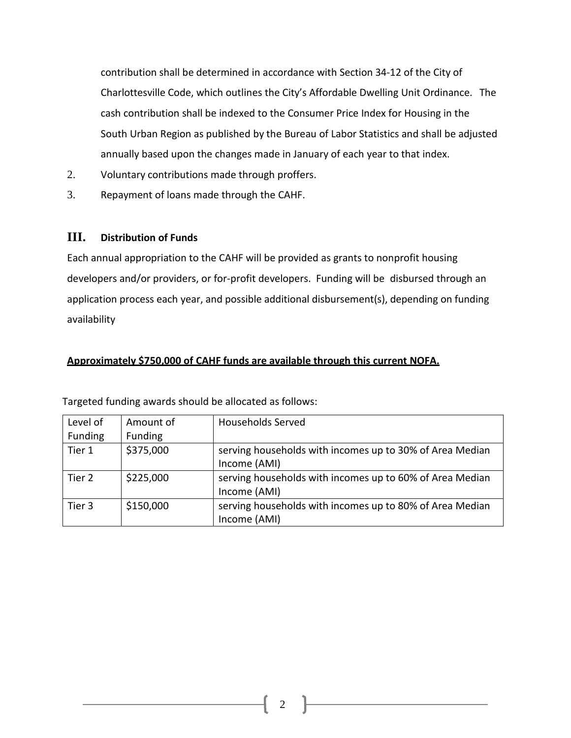contribution shall be determined in accordance with Section 34-12 of the City of Charlottesville Code, which outlines the City's Affordable Dwelling Unit Ordinance. The cash contribution shall be indexed to the Consumer Price Index for Housing in the South Urban Region as published by the Bureau of Labor Statistics and shall be adjusted annually based upon the changes made in January of each year to that index.

- 2. Voluntary contributions made through proffers.
- 3. Repayment of loans made through the CAHF.

#### **III. Distribution of Funds**

Each annual appropriation to the CAHF will be provided as grants to nonprofit housing developers and/or providers, or for-profit developers. Funding will be disbursed through an application process each year, and possible additional disbursement(s), depending on funding availability

#### **Approximately \$750,000 of CAHF funds are available through this current NOFA.**

| Level of | Amount of | <b>Households Served</b>                                 |
|----------|-----------|----------------------------------------------------------|
| Funding  | Funding   |                                                          |
| Tier 1   | \$375,000 | serving households with incomes up to 30% of Area Median |
|          |           | Income (AMI)                                             |
| Tier 2   | \$225,000 | serving households with incomes up to 60% of Area Median |
|          |           | Income (AMI)                                             |
| Tier 3   | \$150,000 | serving households with incomes up to 80% of Area Median |
|          |           | Income (AMI)                                             |

Targeted funding awards should be allocated as follows: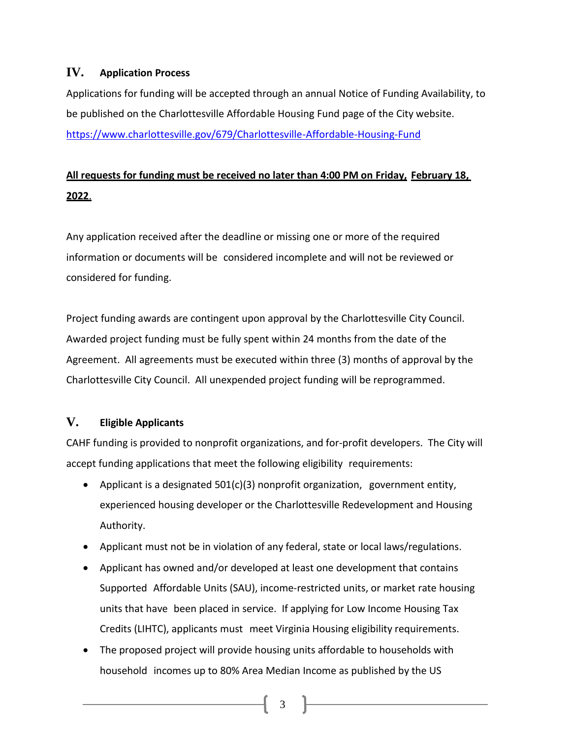## **IV. Application Process**

Applications for funding will be accepted through an annual Notice of Funding Availability, to be published on the Charlottesville Affordable Housing Fund page of the City website. <https://www.charlottesville.gov/679/Charlottesville-Affordable-Housing-Fund>

## **All requests for funding must be received no later than 4:00 PM on Friday, February 18, 2022**.

Any application received after the deadline or missing one or more of the required information or documents will be considered incomplete and will not be reviewed or considered for funding.

Project funding awards are contingent upon approval by the Charlottesville City Council. Awarded project funding must be fully spent within 24 months from the date of the Agreement. All agreements must be executed within three (3) months of approval by the Charlottesville City Council. All unexpended project funding will be reprogrammed.

## **V. Eligible Applicants**

CAHF funding is provided to nonprofit organizations, and for-profit developers. The City will accept funding applications that meet the following eligibility requirements:

- Applicant is a designated 501(c)(3) nonprofit organization, government entity, experienced housing developer or the Charlottesville Redevelopment and Housing Authority.
- Applicant must not be in violation of any federal, state or local laws/regulations.
- Applicant has owned and/or developed at least one development that contains Supported Affordable Units (SAU), income-restricted units, or market rate housing units that have been placed in service. If applying for Low Income Housing Tax Credits (LIHTC), applicants must meet Virginia Housing eligibility requirements.
- The proposed project will provide housing units affordable to households with household incomes up to 80% Area Median Income as published by the US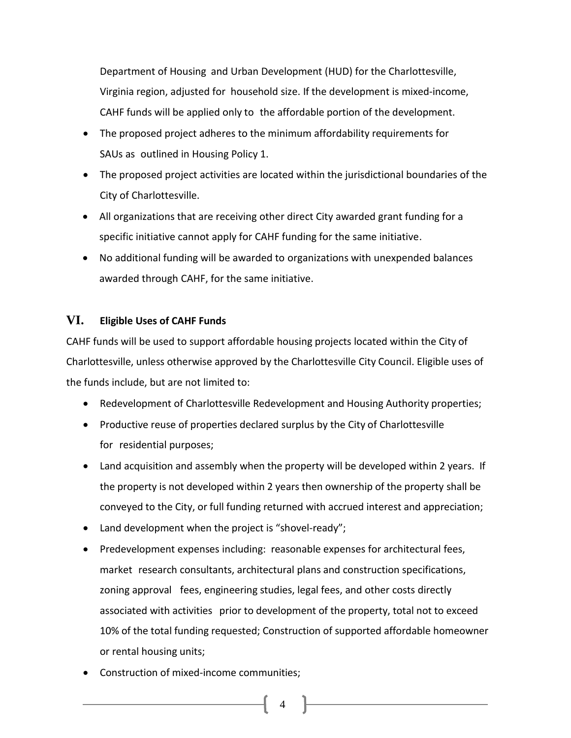Department of Housing and Urban Development (HUD) for the Charlottesville, Virginia region, adjusted for household size. If the development is mixed-income, CAHF funds will be applied only to the affordable portion of the development.

- The proposed project adheres to the minimum affordability requirements for SAUs as outlined in Housing Policy 1.
- The proposed project activities are located within the jurisdictional boundaries of the City of Charlottesville.
- All organizations that are receiving other direct City awarded grant funding for a specific initiative cannot apply for CAHF funding for the same initiative.
- No additional funding will be awarded to organizations with unexpended balances awarded through CAHF, for the same initiative.

## **VI. Eligible Uses of CAHF Funds**

CAHF funds will be used to support affordable housing projects located within the City of Charlottesville, unless otherwise approved by the Charlottesville City Council. Eligible uses of the funds include, but are not limited to:

- Redevelopment of Charlottesville Redevelopment and Housing Authority properties;
- Productive reuse of properties declared surplus by the City of Charlottesville for residential purposes;
- Land acquisition and assembly when the property will be developed within 2 years. If the property is not developed within 2 years then ownership of the property shall be conveyed to the City, or full funding returned with accrued interest and appreciation;
- Land development when the project is "shovel-ready";
- Predevelopment expenses including: reasonable expenses for architectural fees, market research consultants, architectural plans and construction specifications, zoning approval fees, engineering studies, legal fees, and other costs directly associated with activities prior to development of the property, total not to exceed 10% of the total funding requested; Construction of supported affordable homeowner or rental housing units;

4

Construction of mixed-income communities;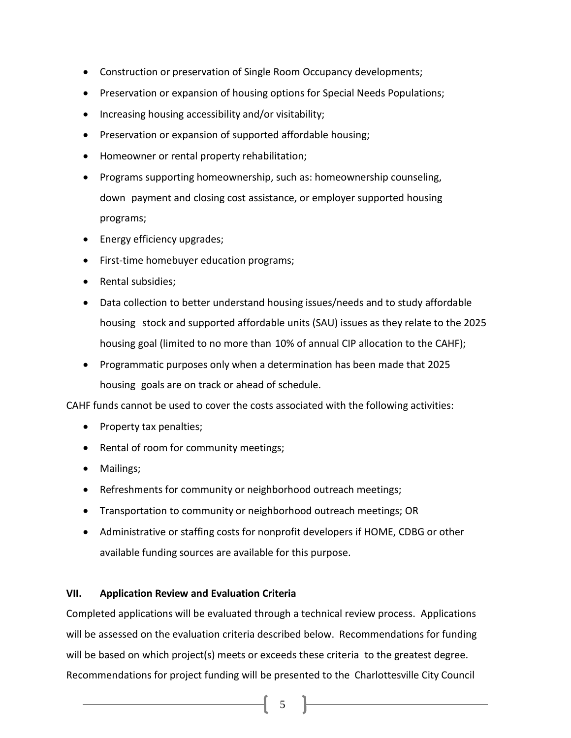- Construction or preservation of Single Room Occupancy developments;
- Preservation or expansion of housing options for Special Needs Populations;
- Increasing housing accessibility and/or visitability;
- Preservation or expansion of supported affordable housing;
- Homeowner or rental property rehabilitation;
- Programs supporting homeownership, such as: homeownership counseling, down payment and closing cost assistance, or employer supported housing programs;
- Energy efficiency upgrades;
- First-time homebuyer education programs;
- Rental subsidies;
- Data collection to better understand housing issues/needs and to study affordable housing stock and supported affordable units (SAU) issues as they relate to the 2025 housing goal (limited to no more than 10% of annual CIP allocation to the CAHF);
- Programmatic purposes only when a determination has been made that 2025 housing goals are on track or ahead of schedule.

CAHF funds cannot be used to cover the costs associated with the following activities:

- Property tax penalties;
- Rental of room for community meetings;
- Mailings;
- Refreshments for community or neighborhood outreach meetings;
- Transportation to community or neighborhood outreach meetings; OR
- Administrative or staffing costs for nonprofit developers if HOME, CDBG or other available funding sources are available for this purpose.

## **VII. Application Review and Evaluation Criteria**

Completed applications will be evaluated through a technical review process. Applications will be assessed on the evaluation criteria described below. Recommendations for funding will be based on which project(s) meets or exceeds these criteria to the greatest degree. Recommendations for project funding will be presented to the Charlottesville City Council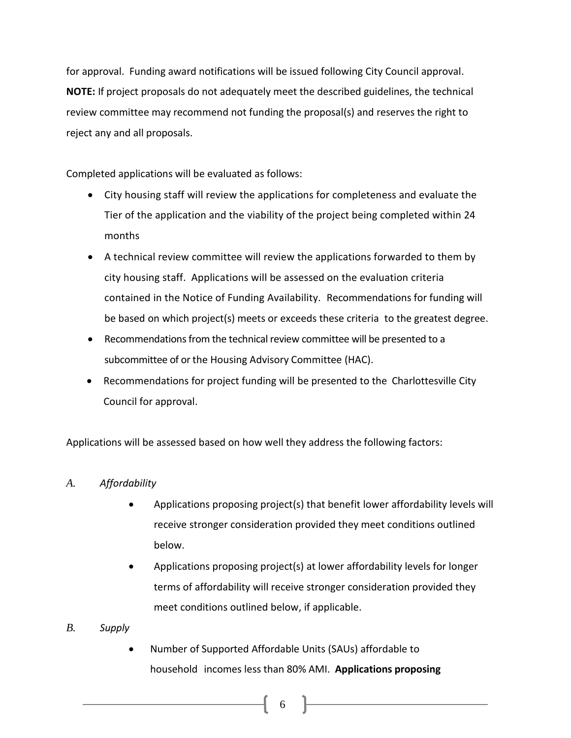for approval. Funding award notifications will be issued following City Council approval. **NOTE:** If project proposals do not adequately meet the described guidelines, the technical review committee may recommend not funding the proposal(s) and reserves the right to reject any and all proposals.

Completed applications will be evaluated as follows:

- City housing staff will review the applications for completeness and evaluate the Tier of the application and the viability of the project being completed within 24 months
- A technical review committee will review the applications forwarded to them by city housing staff. Applications will be assessed on the evaluation criteria contained in the Notice of Funding Availability. Recommendations for funding will be based on which project(s) meets or exceeds these criteria to the greatest degree.
- Recommendations from the technical review committee will be presented to a subcommittee of or the Housing Advisory Committee (HAC).
- Recommendations for project funding will be presented to the Charlottesville City Council for approval.

Applications will be assessed based on how well they address the following factors:

#### *A. Affordability*

- Applications proposing project(s) that benefit lower affordability levels will receive stronger consideration provided they meet conditions outlined below.
- Applications proposing project(s) at lower affordability levels for longer terms of affordability will receive stronger consideration provided they meet conditions outlined below, if applicable.
- *B. Supply*
	- Number of Supported Affordable Units (SAUs) affordable to household incomes less than 80% AMI. **Applications proposing**

 $6\qquad$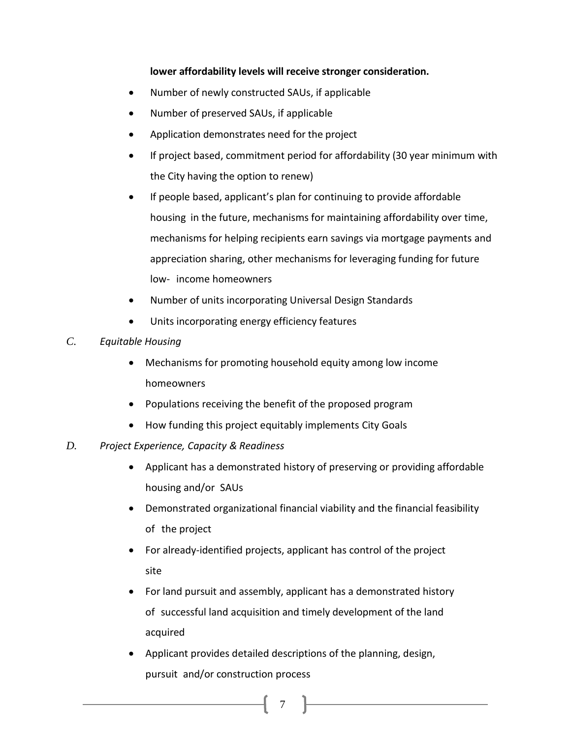## **lower affordability levels will receive stronger consideration.**

- Number of newly constructed SAUs, if applicable
- Number of preserved SAUs, if applicable
- Application demonstrates need for the project
- If project based, commitment period for affordability (30 year minimum with the City having the option to renew)
- If people based, applicant's plan for continuing to provide affordable housing in the future, mechanisms for maintaining affordability over time, mechanisms for helping recipients earn savings via mortgage payments and appreciation sharing, other mechanisms for leveraging funding for future low- income homeowners
- Number of units incorporating Universal Design Standards
- Units incorporating energy efficiency features
- *C. Equitable Housing*
	- Mechanisms for promoting household equity among low income homeowners
	- Populations receiving the benefit of the proposed program
	- How funding this project equitably implements City Goals
- *D. Project Experience, Capacity & Readiness*
	- Applicant has a demonstrated history of preserving or providing affordable housing and/or SAUs
	- Demonstrated organizational financial viability and the financial feasibility of the project
	- For already-identified projects, applicant has control of the project site
	- For land pursuit and assembly, applicant has a demonstrated history of successful land acquisition and timely development of the land acquired
	- Applicant provides detailed descriptions of the planning, design, pursuit and/or construction process

7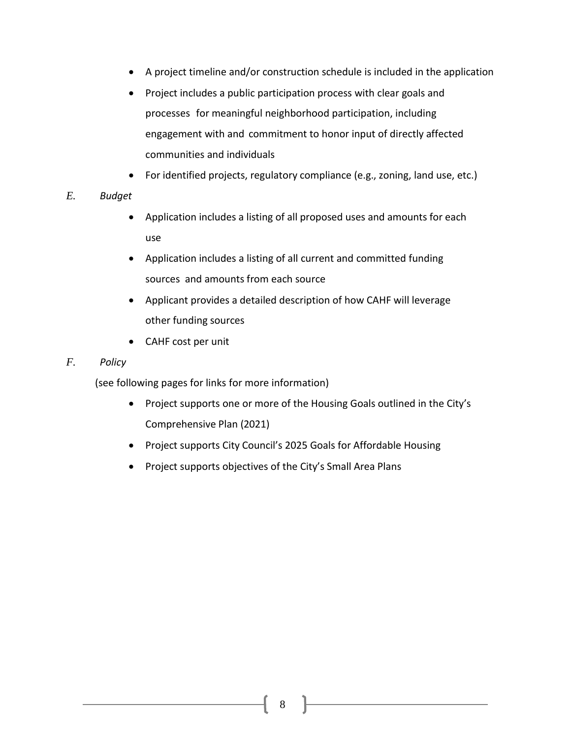- A project timeline and/or construction schedule is included in the application
- Project includes a public participation process with clear goals and processes for meaningful neighborhood participation, including engagement with and commitment to honor input of directly affected communities and individuals
- For identified projects, regulatory compliance (e.g., zoning, land use, etc.)

## *E. Budget*

- Application includes a listing of all proposed uses and amounts for each use
- Application includes a listing of all current and committed funding sources and amounts from each source
- Applicant provides a detailed description of how CAHF will leverage other funding sources
- CAHF cost per unit

## *F. Policy*

(see following pages for links for more information)

- Project supports one or more of the Housing Goals outlined in the City's Comprehensive Plan (2021)
- Project supports City Council's 2025 Goals for Affordable Housing
- Project supports objectives of the City's Small Area Plans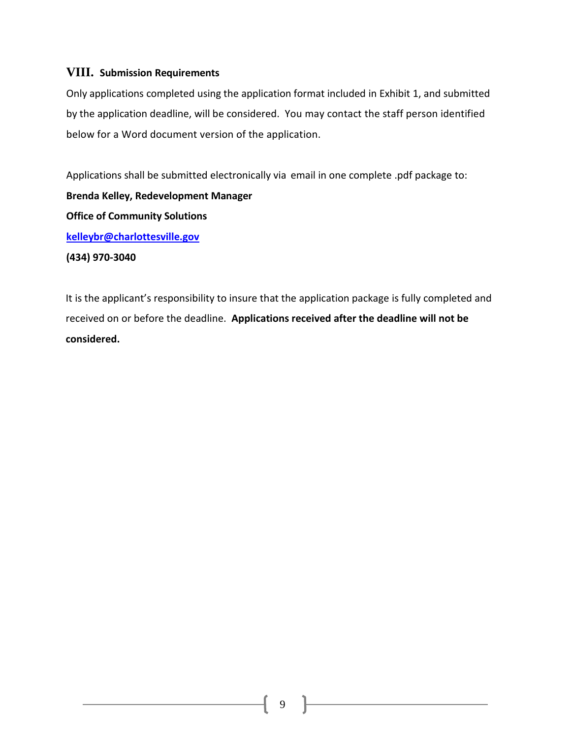## **VIII. Submission Requirements**

Only applications completed using the application format included in Exhibit 1, and submitted by the application deadline, will be considered. You may contact the staff person identified below for a Word document version of the application.

Applications shall be submitted electronically via email in one complete .pdf package to: **Brenda Kelley, Redevelopment Manager Office of Community Solutions [kelleybr@charlottesville.gov](mailto:kelleybr@charlottesville.gov) (434) 970-3040**

It is the applicant's responsibility to insure that the application package is fully completed and received on or before the deadline. **Applications received after the deadline will not be considered.**

9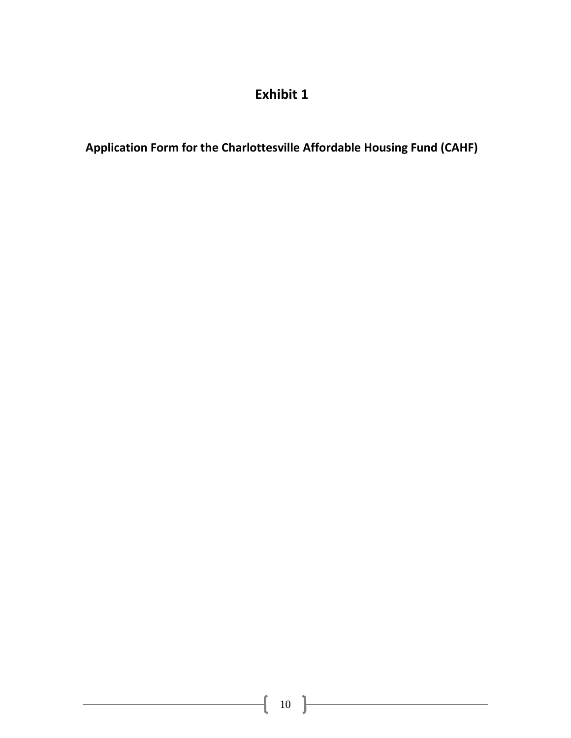## **Exhibit 1**

**Application Form for the Charlottesville Affordable Housing Fund (CAHF)**

<u> 1989 - Johann Barbara, martxa a</u>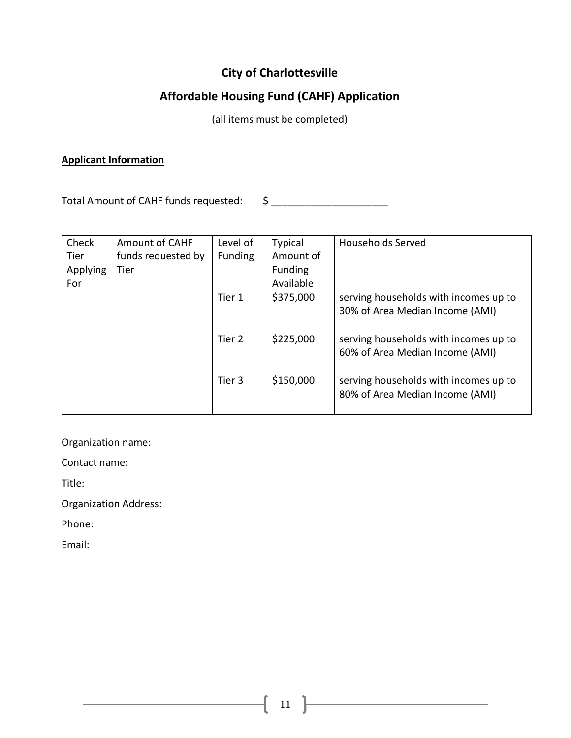## **City of Charlottesville**

## **Affordable Housing Fund (CAHF) Application**

(all items must be completed)

## **Applicant Information**

Total Amount of CAHF funds requested: \$ \_\_\_\_\_\_\_\_\_\_\_\_\_\_\_\_\_\_\_\_\_

| Check<br>Tier          | <b>Amount of CAHF</b><br>funds requested by | Level of<br><b>Funding</b> | <b>Typical</b><br>Amount of | <b>Households Served</b>                                                 |
|------------------------|---------------------------------------------|----------------------------|-----------------------------|--------------------------------------------------------------------------|
| <b>Applying</b><br>For | Tier                                        |                            | <b>Funding</b><br>Available |                                                                          |
|                        |                                             | Tier 1                     | \$375,000                   | serving households with incomes up to<br>30% of Area Median Income (AMI) |
|                        |                                             | Tier 2                     | \$225,000                   | serving households with incomes up to<br>60% of Area Median Income (AMI) |
|                        |                                             | Tier 3                     | \$150,000                   | serving households with incomes up to<br>80% of Area Median Income (AMI) |

Organization name:

Contact name:

Title:

Organization Address:

Phone:

Email: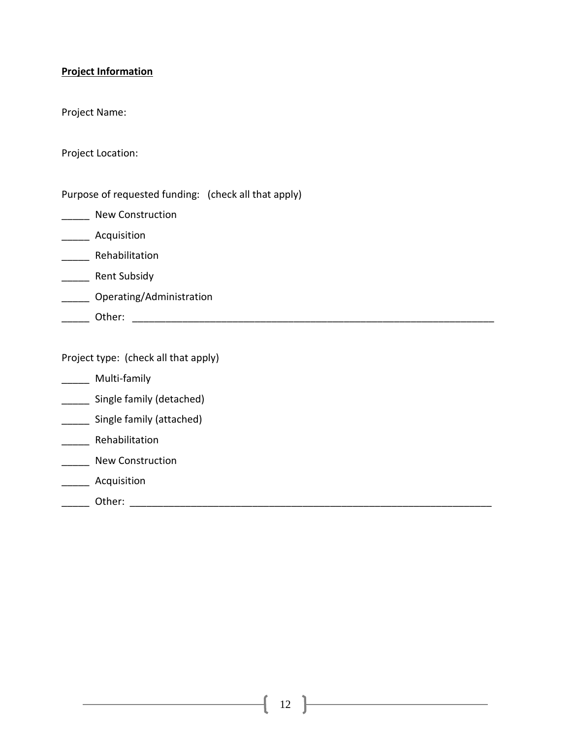#### **Project Information**

Project Name:

Project Location:

Purpose of requested funding: (check all that apply)

\_\_\_\_\_ New Construction

\_\_\_\_\_ Acquisition

\_\_\_\_\_ Rehabilitation

\_\_\_\_\_\_ Rent Subsidy

\_\_\_\_\_ Operating/Administration

\_\_\_\_\_ Other: \_\_\_\_\_\_\_\_\_\_\_\_\_\_\_\_\_\_\_\_\_\_\_\_\_\_\_\_\_\_\_\_\_\_\_\_\_\_\_\_\_\_\_\_\_\_\_\_\_\_\_\_\_\_\_\_\_\_\_\_\_\_\_\_\_

Project type: (check all that apply)

- \_\_\_\_\_ Multi-family
- \_\_\_\_\_ Single family (detached)
- \_\_\_\_\_ Single family (attached)
- \_\_\_\_\_ Rehabilitation
- **\_\_\_\_\_** New Construction
- \_\_\_\_\_ Acquisition
- \_\_\_\_\_ Other: \_\_\_\_\_\_\_\_\_\_\_\_\_\_\_\_\_\_\_\_\_\_\_\_\_\_\_\_\_\_\_\_\_\_\_\_\_\_\_\_\_\_\_\_\_\_\_\_\_\_\_\_\_\_\_\_\_\_\_\_\_\_\_\_\_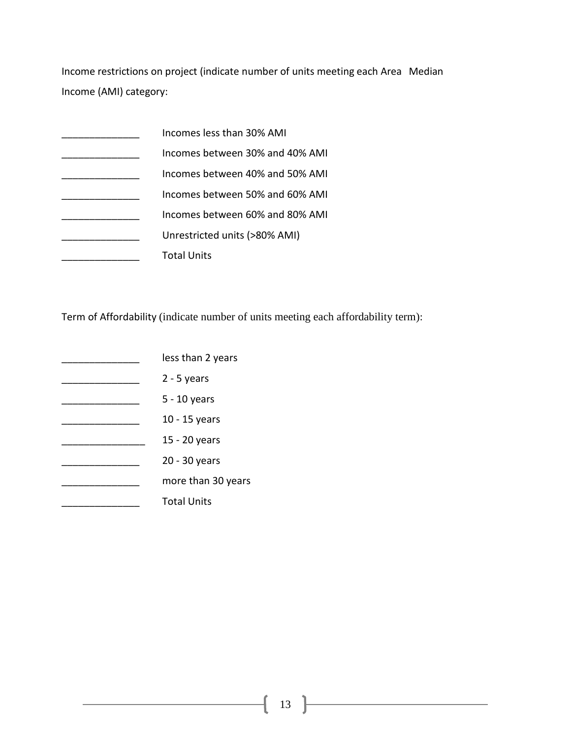Income restrictions on project (indicate number of units meeting each Area Median Income (AMI) category:

| Incomes less than 30% AMI       |
|---------------------------------|
| Incomes between 30% and 40% AMI |
| Incomes between 40% and 50% AMI |
| Incomes between 50% and 60% AMI |
| Incomes between 60% and 80% AMI |
| Unrestricted units (>80% AMI)   |
| <b>Total Units</b>              |

Term of Affordability (indicate number of units meeting each affordability term):

- **Latter Lines** Less than 2 years
- \_\_\_\_\_\_\_\_\_\_\_\_\_\_ 2 5 years
- \_\_\_\_\_\_\_\_\_\_\_\_\_\_ 5 10 years
- \_\_\_\_\_\_\_\_\_\_\_\_\_\_ 10 15 years
- \_\_\_\_\_\_\_\_\_\_\_\_\_\_\_ 15 20 years
- **20 30 years**
- \_\_\_\_\_\_\_\_\_\_\_\_\_\_ more than 30 years
- \_\_\_\_\_\_\_\_\_\_\_\_\_\_ Total Units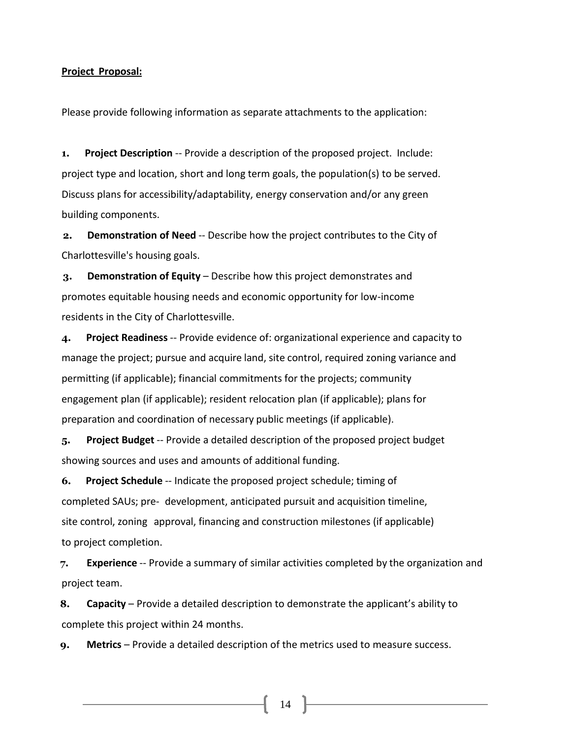#### **Project Proposal:**

Please provide following information as separate attachments to the application:

**1. Project Description** -- Provide a description of the proposed project. Include: project type and location, short and long term goals, the population(s) to be served. Discuss plans for accessibility/adaptability, energy conservation and/or any green building components.

**2. Demonstration of Need** -- Describe how the project contributes to the City of Charlottesville's housing goals.

**3. Demonstration of Equity** – Describe how this project demonstrates and promotes equitable housing needs and economic opportunity for low-income residents in the City of Charlottesville.

**4. Project Readiness** -- Provide evidence of: organizational experience and capacity to manage the project; pursue and acquire land, site control, required zoning variance and permitting (if applicable); financial commitments for the projects; community engagement plan (if applicable); resident relocation plan (if applicable); plans for preparation and coordination of necessary public meetings (if applicable).

**5. Project Budget** -- Provide a detailed description of the proposed project budget showing sources and uses and amounts of additional funding.

**6. Project Schedule** -- Indicate the proposed project schedule; timing of completed SAUs; pre- development, anticipated pursuit and acquisition timeline, site control, zoning approval, financing and construction milestones (if applicable) to project completion.

**7. Experience** -- Provide a summary of similar activities completed by the organization and project team.

**8. Capacity** – Provide a detailed description to demonstrate the applicant's ability to complete this project within 24 months.

**9. Metrics** – Provide a detailed description of the metrics used to measure success.

 $14$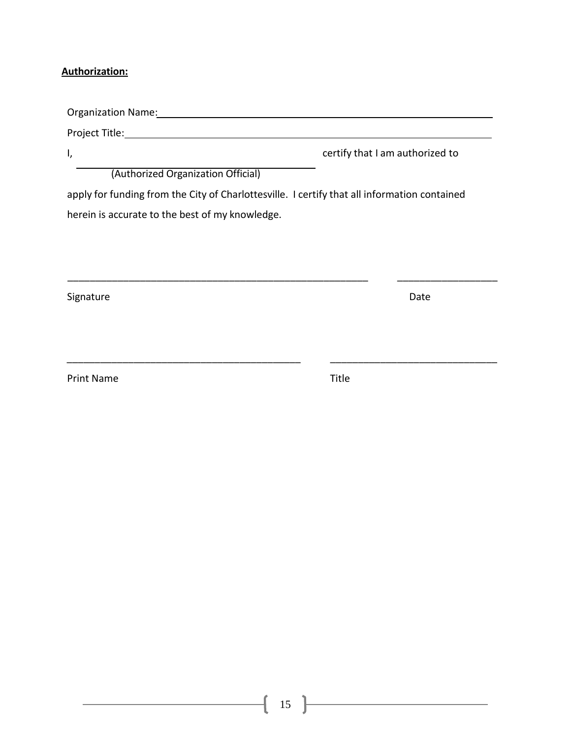#### **Authorization:**

Organization Name: Project Title: I, certify that I am authorized to (Authorized Organization Official) apply for funding from the City of Charlottesville. I certify that all information contained

\_\_\_\_\_\_\_\_\_\_\_\_\_\_\_\_\_\_\_\_\_\_\_\_\_\_\_\_\_\_\_\_\_\_\_\_\_\_\_\_\_\_\_\_\_\_\_\_\_\_\_\_\_\_ \_\_\_\_\_\_\_\_\_\_\_\_\_\_\_\_\_\_

\_\_\_\_\_\_\_\_\_\_\_\_\_\_\_\_\_\_\_\_\_\_\_\_\_\_\_\_\_\_\_\_\_\_\_\_\_\_\_\_\_\_ \_\_\_\_\_\_\_\_\_\_\_\_\_\_\_\_\_\_\_\_\_\_\_\_\_\_\_\_\_\_

herein is accurate to the best of my knowledge.

Signature Date Date of the Date of the Date of the Date of the Date of the Date of the Date of the Date of the Date of the Date of the Date of the Date of the Date of the Date of the Date of the Date of the Date of the Dat

Print Name Title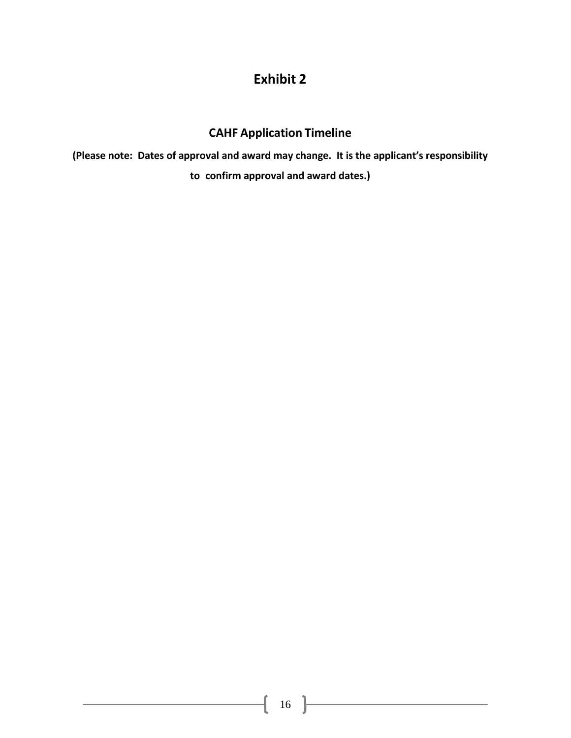## **Exhibit 2**

## **CAHF Application Timeline**

**(Please note: Dates of approval and award may change. It is the applicant's responsibility to confirm approval and award dates.)**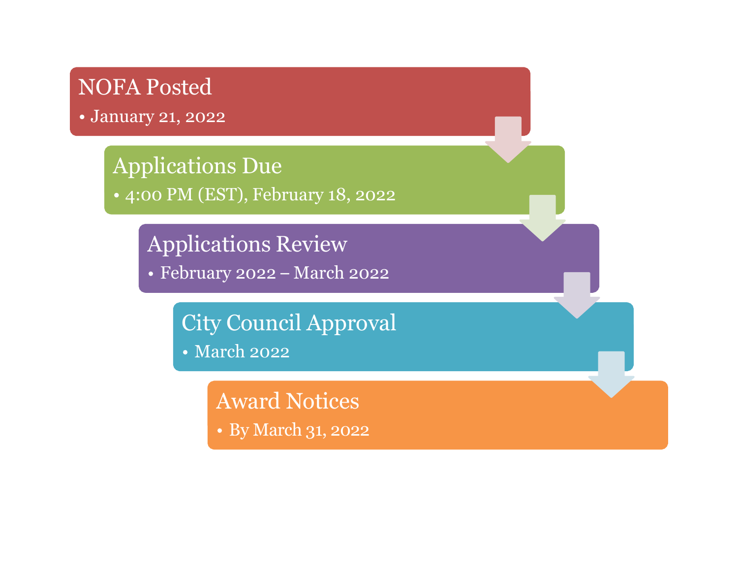# NOFA Posted

• January 21, 2022

# Applications Due

• 4:00 PM (EST), February 18, 2022

Applications Review

February 2022 – March 2022

City Council Approval

• March 2022

Award Notices • By March 31, 2022